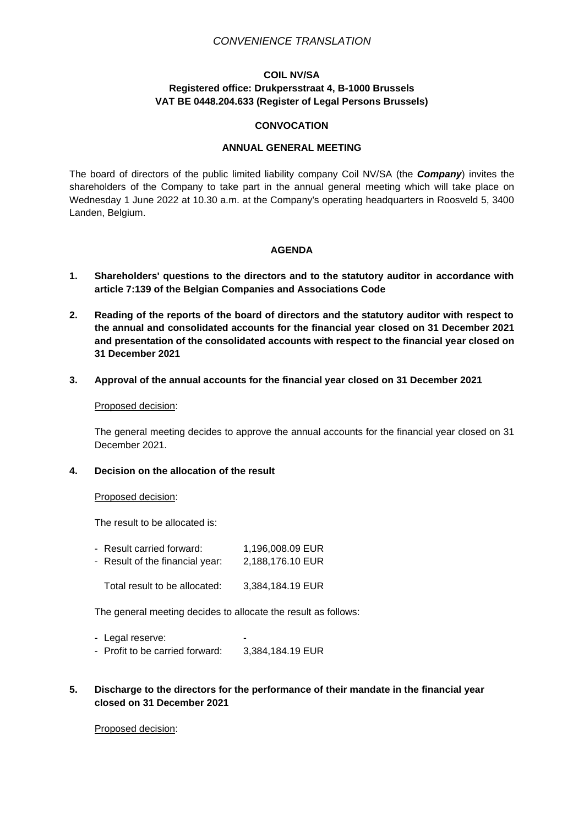# *CONVENIENCE TRANSLATION*

# **COIL NV/SA Registered office: Drukpersstraat 4, B-1000 Brussels VAT BE 0448.204.633 (Register of Legal Persons Brussels)**

#### **CONVOCATION**

#### **ANNUAL GENERAL MEETING**

The board of directors of the public limited liability company Coil NV/SA (the *Company*) invites the shareholders of the Company to take part in the annual general meeting which will take place on Wednesday 1 June 2022 at 10.30 a.m. at the Company's operating headquarters in Roosveld 5, 3400 Landen, Belgium.

#### **AGENDA**

- **1. Shareholders' questions to the directors and to the statutory auditor in accordance with article 7:139 of the Belgian Companies and Associations Code**
- **2. Reading of the reports of the board of directors and the statutory auditor with respect to the annual and consolidated accounts for the financial year closed on 31 December 2021 and presentation of the consolidated accounts with respect to the financial year closed on 31 December 2021**
- **3. Approval of the annual accounts for the financial year closed on 31 December 2021**

#### Proposed decision:

The general meeting decides to approve the annual accounts for the financial year closed on 31 December 2021.

**4. Decision on the allocation of the result**

Proposed decision:

The result to be allocated is:

| - Result carried forward:       | 1,196,008.09 EUR |
|---------------------------------|------------------|
| - Result of the financial year: | 2,188,176.10 EUR |

Total result to be allocated: 3,384,184.19 EUR

The general meeting decides to allocate the result as follows:

- Legal reserve: - Profit to be carried forward: 3,384,184.19 EUR
- **5. Discharge to the directors for the performance of their mandate in the financial year closed on 31 December 2021**

## Proposed decision: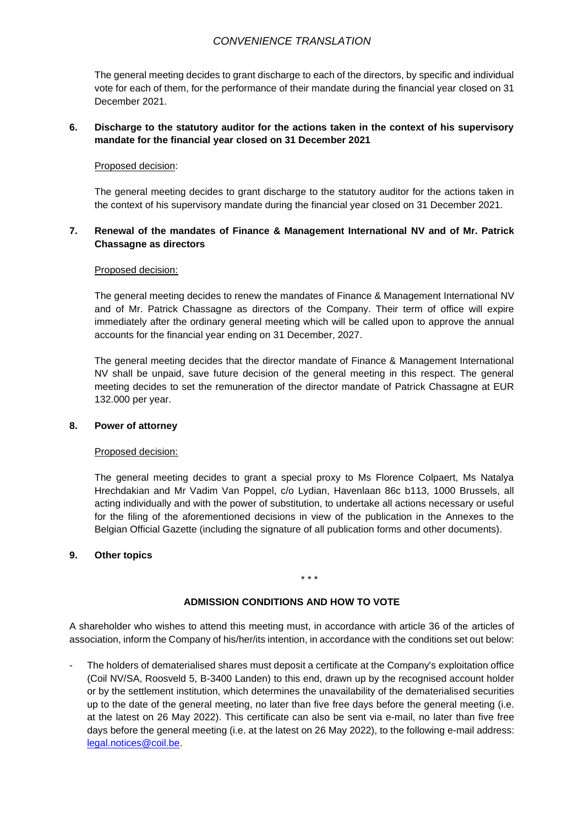# *CONVENIENCE TRANSLATION*

The general meeting decides to grant discharge to each of the directors, by specific and individual vote for each of them, for the performance of their mandate during the financial year closed on 31 December 2021.

## **6. Discharge to the statutory auditor for the actions taken in the context of his supervisory mandate for the financial year closed on 31 December 2021**

## Proposed decision:

The general meeting decides to grant discharge to the statutory auditor for the actions taken in the context of his supervisory mandate during the financial year closed on 31 December 2021.

## **7. Renewal of the mandates of Finance & Management International NV and of Mr. Patrick Chassagne as directors**

#### Proposed decision:

The general meeting decides to renew the mandates of Finance & Management International NV and of Mr. Patrick Chassagne as directors of the Company. Their term of office will expire immediately after the ordinary general meeting which will be called upon to approve the annual accounts for the financial year ending on 31 December, 2027.

The general meeting decides that the director mandate of Finance & Management International NV shall be unpaid, save future decision of the general meeting in this respect. The general meeting decides to set the remuneration of the director mandate of Patrick Chassagne at EUR 132.000 per year.

#### **8. Power of attorney**

#### Proposed decision:

The general meeting decides to grant a special proxy to Ms Florence Colpaert, Ms Natalya Hrechdakian and Mr Vadim Van Poppel, c/o Lydian, Havenlaan 86c b113, 1000 Brussels, all acting individually and with the power of substitution, to undertake all actions necessary or useful for the filing of the aforementioned decisions in view of the publication in the Annexes to the Belgian Official Gazette (including the signature of all publication forms and other documents).

## **9. Other topics**

# \* \* \*

# **ADMISSION CONDITIONS AND HOW TO VOTE**

A shareholder who wishes to attend this meeting must, in accordance with article 36 of the articles of association, inform the Company of his/her/its intention, in accordance with the conditions set out below:

The holders of dematerialised shares must deposit a certificate at the Company's exploitation office (Coil NV/SA, Roosveld 5, B-3400 Landen) to this end, drawn up by the recognised account holder or by the settlement institution, which determines the unavailability of the dematerialised securities up to the date of the general meeting, no later than five free days before the general meeting (i.e. at the latest on 26 May 2022). This certificate can also be sent via e-mail, no later than five free days before the general meeting (i.e. at the latest on 26 May 2022), to the following e-mail address: [legal.notices@coil.be.](mailto:legal.notices@coil.be)